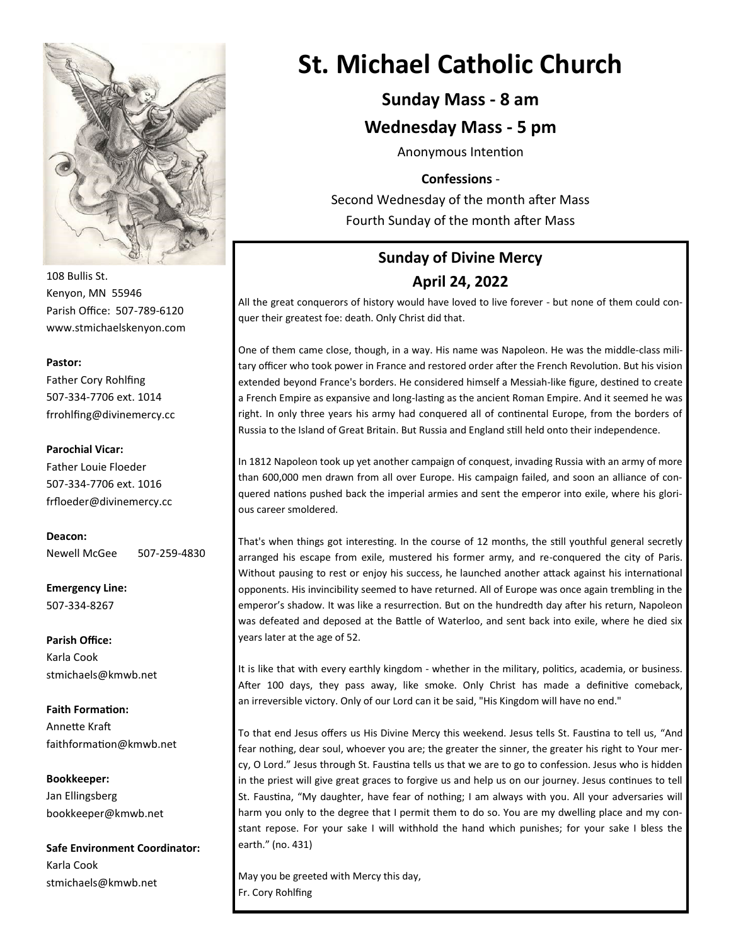

108 Bullis St. Kenyon, MN 55946 Parish Office: 507-789-6120 www.stmichaelskenyon.com

#### **Pastor:**

Father Cory Rohlfing 507-334-7706 ext. 1014 frrohlfing@divinemercy.cc

#### **Parochial Vicar:**

Father Louie Floeder 507-334-7706 ext. 1016 frfloeder@divinemercy.cc

**Deacon:**  Newell McGee 507-259-4830

**Emergency Line:** 507-334-8267

**Parish Office:**  Karla Cook stmichaels@kmwb.net

**Faith Formation:**  Annette Kraft faithformation@kmwb.net

**Bookkeeper:**  Jan Ellingsberg bookkeeper@kmwb.net

**Safe Environment Coordinator:** Karla Cook stmichaels@kmwb.net

## **St. Michael Catholic Church**

### **Sunday Mass - 8 am**

### **Wednesday Mass - 5 pm**

Anonymous Intention

### **Confessions** -

Second Wednesday of the month after Mass Fourth Sunday of the month after Mass

### **Sunday of Divine Mercy April 24, 2022**

All the great conquerors of history would have loved to live forever - but none of them could conquer their greatest foe: death. Only Christ did that.

One of them came close, though, in a way. His name was Napoleon. He was the middle-class military officer who took power in France and restored order after the French Revolution. But his vision extended beyond France's borders. He considered himself a Messiah-like figure, destined to create a French Empire as expansive and long-lasting as the ancient Roman Empire. And it seemed he was right. In only three years his army had conquered all of continental Europe, from the borders of Russia to the Island of Great Britain. But Russia and England still held onto their independence.

In 1812 Napoleon took up yet another campaign of conquest, invading Russia with an army of more than 600,000 men drawn from all over Europe. His campaign failed, and soon an alliance of conquered nations pushed back the imperial armies and sent the emperor into exile, where his glorious career smoldered.

That's when things got interesting. In the course of 12 months, the still youthful general secretly arranged his escape from exile, mustered his former army, and re-conquered the city of Paris. Without pausing to rest or enjoy his success, he launched another attack against his international opponents. His invincibility seemed to have returned. All of Europe was once again trembling in the emperor's shadow. It was like a resurrection. But on the hundredth day after his return, Napoleon was defeated and deposed at the Battle of Waterloo, and sent back into exile, where he died six years later at the age of 52.

It is like that with every earthly kingdom - whether in the military, politics, academia, or business. After 100 days, they pass away, like smoke. Only Christ has made a definitive comeback, an irreversible victory. Only of our Lord can it be said, "His Kingdom will have no end."

To that end Jesus offers us His Divine Mercy this weekend. Jesus tells St. Faustina to tell us, "And fear nothing, dear soul, whoever you are; the greater the sinner, the greater his right to Your mercy, O Lord." Jesus through St. Faustina tells us that we are to go to confession. Jesus who is hidden in the priest will give great graces to forgive us and help us on our journey. Jesus continues to tell St. Faustina, "My daughter, have fear of nothing; I am always with you. All your adversaries will harm you only to the degree that I permit them to do so. You are my dwelling place and my constant repose. For your sake I will withhold the hand which punishes; for your sake I bless the earth." (no. 431)

May you be greeted with Mercy this day, Fr. Cory Rohlfing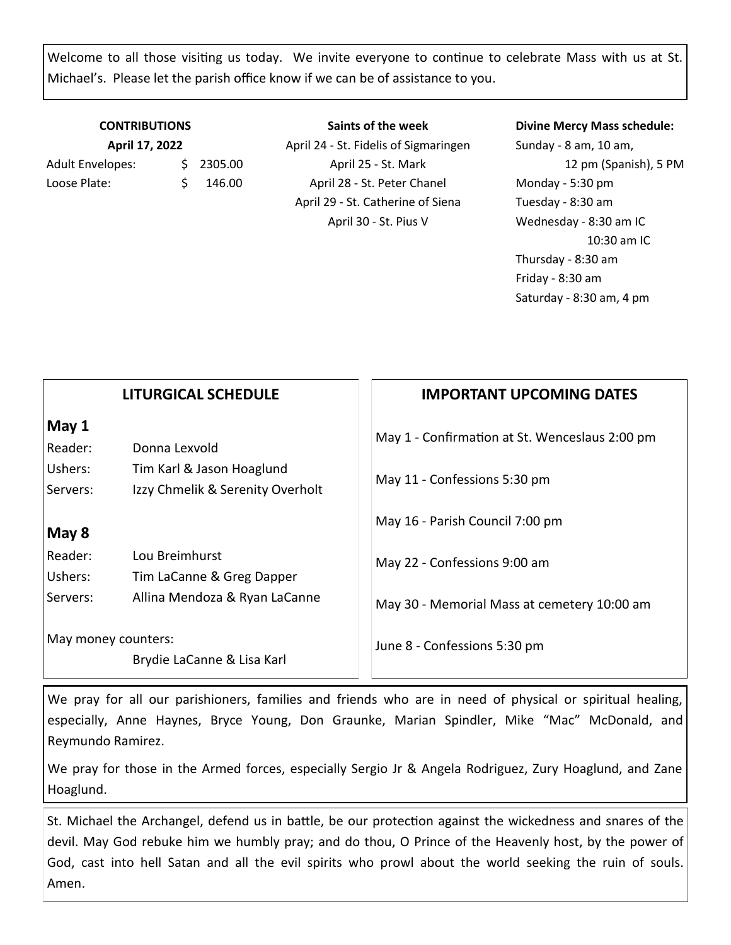Welcome to all those visiting us today. We invite everyone to continue to celebrate Mass with us at St. Michael's. Please let the parish office know if we can be of assistance to you.

### **CONTRIBUTIONS April 17, 2022**

Adult Envelopes:  $\frac{1}{2}$  2305.00 Loose Plate: \$ 146.00

**Saints of the week** April 24 - St. Fidelis of Sigmaringen April 25 - St. Mark April 28 - St. Peter Chanel April 29 - St. Catherine of Siena April 30 - St. Pius V

### **Divine Mercy Mass schedule:**

Sunday - 8 am, 10 am, 12 pm (Spanish), 5 PM Monday - 5:30 pm Tuesday - 8:30 am Wednesday - 8:30 am IC 10:30 am IC Thursday - 8:30 am Friday - 8:30 am Saturday - 8:30 am, 4 pm

|                                                   | <b>LITURGICAL SCHEDULE</b>       | <b>IMPORTANT UPCOMING DATES</b>                |
|---------------------------------------------------|----------------------------------|------------------------------------------------|
| May 1                                             |                                  | May 1 - Confirmation at St. Wenceslaus 2:00 pm |
| Reader:                                           | Donna Lexvold                    |                                                |
| Ushers:                                           | Tim Karl & Jason Hoaglund        | May 11 - Confessions 5:30 pm                   |
| Servers:                                          | Izzy Chmelik & Serenity Overholt |                                                |
|                                                   |                                  | May 16 - Parish Council 7:00 pm                |
| May 8                                             |                                  |                                                |
| Reader:                                           | Lou Breimhurst                   | May 22 - Confessions 9:00 am                   |
| Ushers:                                           | Tim LaCanne & Greg Dapper        |                                                |
| Servers:                                          | Allina Mendoza & Ryan LaCanne    | May 30 - Memorial Mass at cemetery 10:00 am    |
| May money counters:<br>Brydie LaCanne & Lisa Karl |                                  | June 8 - Confessions 5:30 pm                   |
|                                                   |                                  |                                                |

We pray for all our parishioners, families and friends who are in need of physical or spiritual healing, especially, Anne Haynes, Bryce Young, Don Graunke, Marian Spindler, Mike "Mac" McDonald, and Reymundo Ramirez.

We pray for those in the Armed forces, especially Sergio Jr & Angela Rodriguez, Zury Hoaglund, and Zane Hoaglund.

St. Michael the Archangel, defend us in battle, be our protection against the wickedness and snares of the devil. May God rebuke him we humbly pray; and do thou, O Prince of the Heavenly host, by the power of God, cast into hell Satan and all the evil spirits who prowl about the world seeking the ruin of souls. Amen.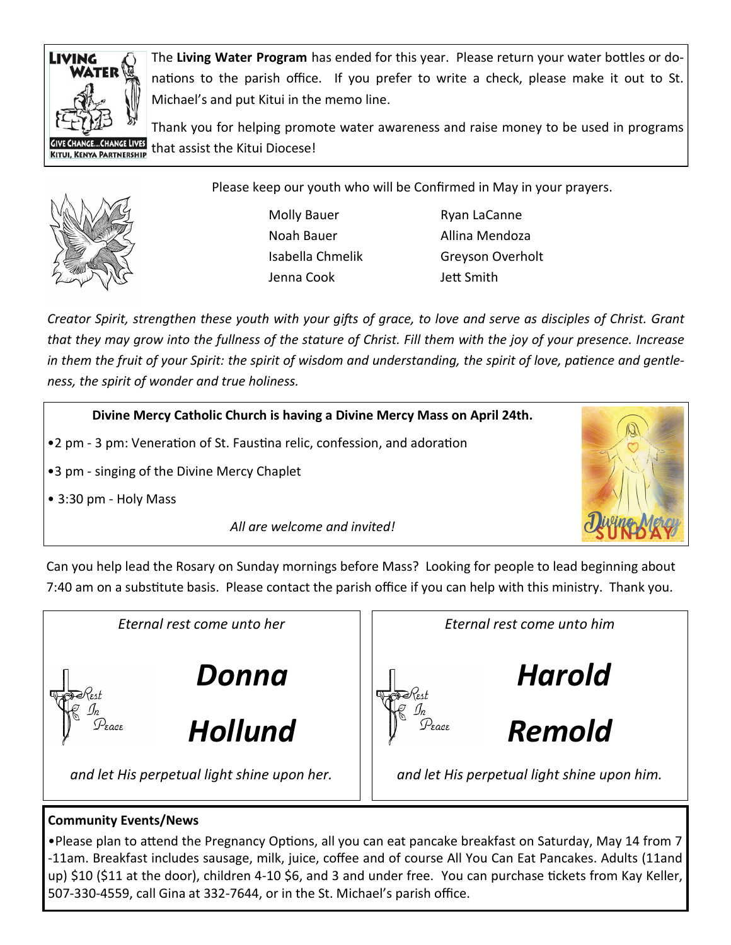

The **Living Water Program** has ended for this year. Please return your water bottles or donations to the parish office. If you prefer to write a check, please make it out to St. Michael's and put Kitui in the memo line.

Thank you for helping promote water awareness and raise money to be used in programs that assist the Kitui Diocese!



Please keep our youth who will be Confirmed in May in your prayers.

Molly Bauer Ryan LaCanne Jenna Cook Jett Smith

Noah Bauer **Allina Mendoza** Isabella Chmelik Greyson Overholt

*Creator Spirit, strengthen these youth with your gifts of grace, to love and serve as disciples of Christ. Grant that they may grow into the fullness of the stature of Christ. Fill them with the joy of your presence. Increase in them the fruit of your Spirit: the spirit of wisdom and understanding, the spirit of love, patience and gentleness, the spirit of wonder and true holiness.* 

**Divine Mercy Catholic Church is having a Divine Mercy Mass on April 24th.** 

- •2 pm 3 pm: Veneration of St. Faustina relic, confession, and adoration
- •3 pm singing of the Divine Mercy Chaplet
- 3:30 pm Holy Mass



*All are welcome and invited!*

Can you help lead the Rosary on Sunday mornings before Mass? Looking for people to lead beginning about 7:40 am on a substitute basis. Please contact the parish office if you can help with this ministry. Thank you.



### **Community Events/News**

•Please plan to attend the Pregnancy Options, all you can eat pancake breakfast on Saturday, May 14 from 7 -11am. Breakfast includes sausage, milk, juice, coffee and of course All You Can Eat Pancakes. Adults (11and up) \$10 (\$11 at the door), children 4-10 \$6, and 3 and under free. You can purchase tickets from Kay Keller, 507-330-4559, call Gina at 332-7644, or in the St. Michael's parish office.